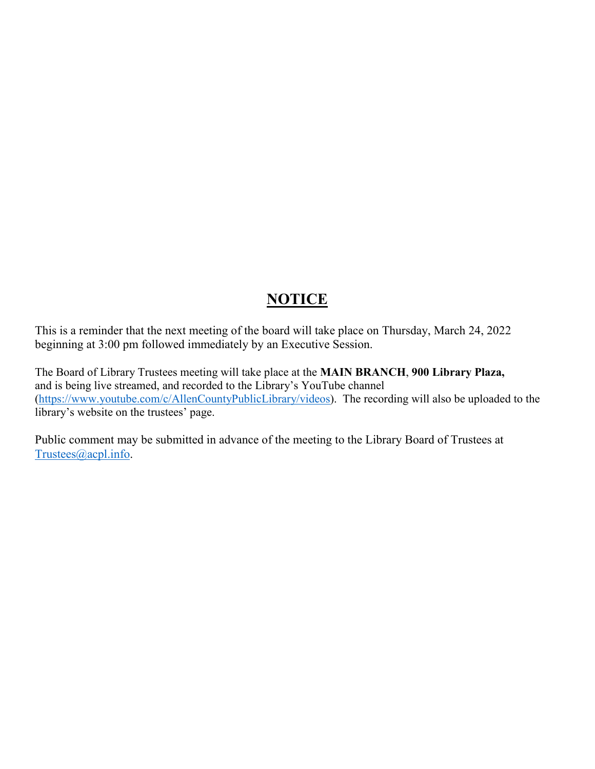## **NOTICE**

This is a reminder that the next meeting of the board will take place on Thursday, March 24, 2022 beginning at 3:00 pm followed immediately by an Executive Session.

The Board of Library Trustees meeting will take place at the **MAIN BRANCH**, **900 Library Plaza,**  and is being live streamed, and recorded to the Library's YouTube channel [\(https://www.youtube.com/c/AllenCountyPublicLibrary/videos\)](https://www.youtube.com/c/AllenCountyPublicLibrary/videos). The recording will also be uploaded to the library's website on the trustees' page.

Public comment may be submitted in advance of the meeting to the Library Board of Trustees at [Trustees@acpl.info.](mailto:Trustees@acpl.info)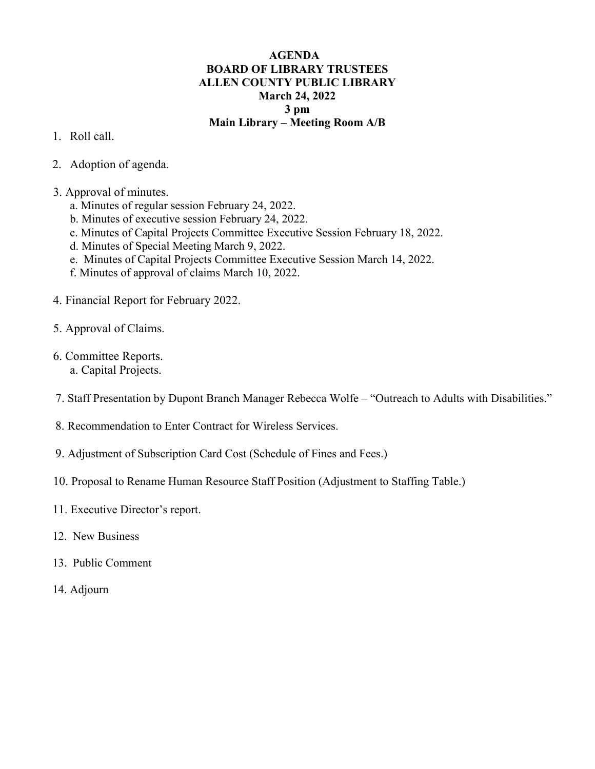## **AGENDA BOARD OF LIBRARY TRUSTEES ALLEN COUNTY PUBLIC LIBRARY March 24, 2022 3 pm Main Library – Meeting Room A/B**

- 1. Roll call.
- 2. Adoption of agenda.
- 3. Approval of minutes.
	- a. Minutes of regular session February 24, 2022.
	- b. Minutes of executive session February 24, 2022.
	- c. Minutes of Capital Projects Committee Executive Session February 18, 2022.
	- d. Minutes of Special Meeting March 9, 2022.
	- e. Minutes of Capital Projects Committee Executive Session March 14, 2022.
	- f. Minutes of approval of claims March 10, 2022.
- 4. Financial Report for February 2022.
- 5. Approval of Claims.
- 6. Committee Reports.
	- a. Capital Projects.
- 7. Staff Presentation by Dupont Branch Manager Rebecca Wolfe "Outreach to Adults with Disabilities."
- 8. Recommendation to Enter Contract for Wireless Services.
- 9. Adjustment of Subscription Card Cost (Schedule of Fines and Fees.)
- 10. Proposal to Rename Human Resource Staff Position (Adjustment to Staffing Table.)
- 11. Executive Director's report.
- 12. New Business
- 13. Public Comment
- 14. Adjourn